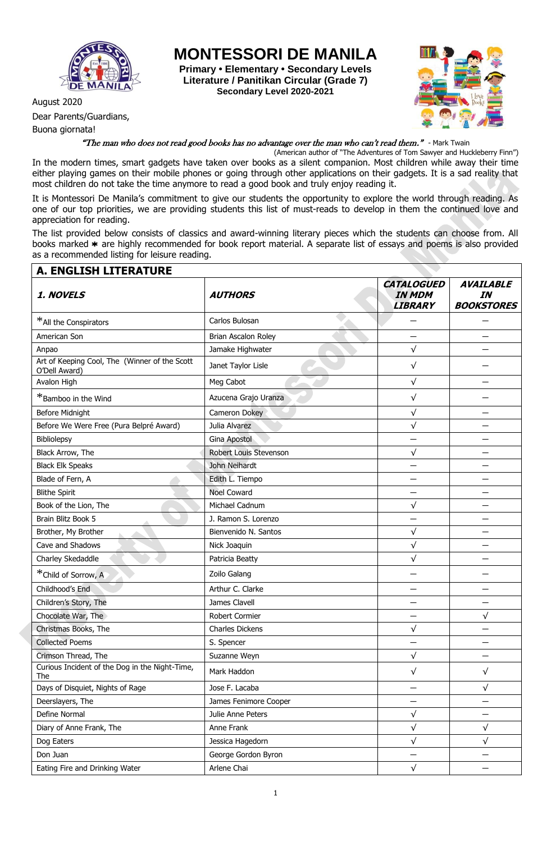

Dear Parents/Guardians,

Buona giornata!

**MONTESSORI DE MANILA**

**Primary • Elementary • Secondary Levels Literature / Panitikan Circular (Grade 7) Secondary Level 2020-2021**



## "The man who does not read good books has no advantage over the man who can't read them." - Mark Twain

(American author of "The Adventures of Tom Sawyer and Huckleberry Finn") In the modern times, smart gadgets have taken over books as a silent companion. Most children while away their time either playing games on their mobile phones or going through other applications on their gadgets. It is a sad reality that most children do not take the time anymore to read a good book and truly enjoy reading it.

It is Montessori De Manila's commitment to give our students the opportunity to explore the world through reading. As one of our top priorities, we are providing students this list of must-reads to develop in them the continued love and appreciation for reading.

The list provided below consists of classics and award-winning literary pieces which the students can choose from. All books marked \* are highly recommended for book report material. A separate list of essays and poems is also provided as a recommended listing for leisure reading.

| <b>A. ENGLISH LITERATURE</b>                                   |                        |                                                      |                                             |
|----------------------------------------------------------------|------------------------|------------------------------------------------------|---------------------------------------------|
| 1. NOVELS                                                      | <b>AUTHORS</b>         | <b>CATALOGUED</b><br><b>IN MDM</b><br><b>LIBRARY</b> | <b>AVAILABLE</b><br>IN<br><b>BOOKSTORES</b> |
| *All the Conspirators                                          | Carlos Bulosan         |                                                      |                                             |
| American Son                                                   | Brian Ascalon Roley    |                                                      |                                             |
| Anpao                                                          | Jamake Highwater       | $\sqrt{}$                                            |                                             |
| Art of Keeping Cool, The (Winner of the Scott<br>O'Dell Award) | Janet Taylor Lisle     | $\sqrt{}$                                            |                                             |
| Avalon High                                                    | Meg Cabot              | $\sqrt{}$                                            |                                             |
| *Bamboo in the Wind                                            | Azucena Grajo Uranza   | $\sqrt{}$                                            |                                             |
| <b>Before Midnight</b>                                         | Cameron Dokey          | $\sqrt{ }$                                           |                                             |
| Before We Were Free (Pura Belpré Award)                        | Julia Alvarez          | $\sqrt{}$                                            |                                             |
| Bibliolepsy                                                    | Gina Apostol           |                                                      |                                             |
| Black Arrow, The                                               | Robert Louis Stevenson | $\sqrt{}$                                            |                                             |
| <b>Black Elk Speaks</b>                                        | John Neihardt          |                                                      |                                             |
| Blade of Fern, A                                               | Edith L. Tiempo        |                                                      |                                             |
| <b>Blithe Spirit</b>                                           | <b>Noel Coward</b>     |                                                      |                                             |
| Book of the Lion, The                                          | Michael Cadnum         | $\sqrt{}$                                            |                                             |
| Brain Blitz Book 5                                             | J. Ramon S. Lorenzo    |                                                      |                                             |
| Brother, My Brother                                            | Bienvenido N. Santos   | $\sqrt{}$                                            |                                             |
| Cave and Shadows                                               | Nick Joaquin           | $\sqrt{}$                                            |                                             |
| Charley Skedaddle                                              | Patricia Beatty        | $\sqrt{}$                                            |                                             |
| *Child of Sorrow, A                                            | Zoilo Galang           |                                                      |                                             |
| Childhood's End                                                | Arthur C. Clarke       |                                                      |                                             |
| Children's Story, The                                          | James Clavell          |                                                      |                                             |
| Chocolate War, The                                             | Robert Cormier         |                                                      | $\sqrt{}$                                   |
| Christmas Books, The                                           | <b>Charles Dickens</b> | $\sqrt{}$                                            |                                             |
| <b>Collected Poems</b>                                         | S. Spencer             |                                                      |                                             |
| Crimson Thread, The                                            | Suzanne Weyn           | $\sqrt{}$                                            |                                             |
| Curious Incident of the Dog in the Night-Time,<br>The          | Mark Haddon            | $\sqrt{}$                                            | $\sqrt{}$                                   |
| Days of Disquiet, Nights of Rage                               | Jose F. Lacaba         |                                                      | $\sqrt{}$                                   |
| Deerslayers, The                                               | James Fenimore Cooper  |                                                      |                                             |
| Define Normal                                                  | Julie Anne Peters      | $\sqrt{}$                                            |                                             |
| Diary of Anne Frank, The                                       | Anne Frank             | $\sqrt{}$                                            | √                                           |
| Dog Eaters                                                     | Jessica Hagedorn       | $\sqrt{}$                                            | $\sqrt{}$                                   |
| Don Juan                                                       | George Gordon Byron    |                                                      |                                             |
| Eating Fire and Drinking Water                                 | Arlene Chai            | $\sqrt{ }$                                           |                                             |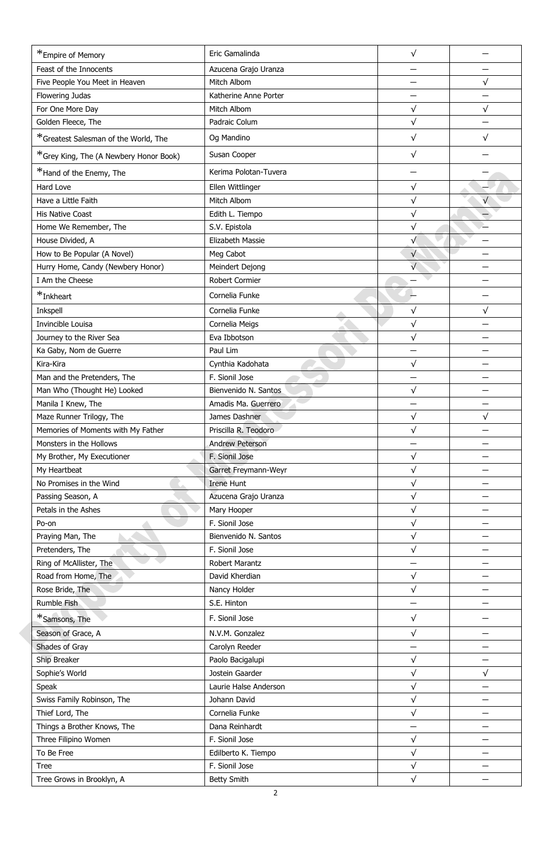| *Empire of Memory                      | Eric Gamalinda         | $\sqrt{}$  |            |
|----------------------------------------|------------------------|------------|------------|
| Feast of the Innocents                 | Azucena Grajo Uranza   |            |            |
| Five People You Meet in Heaven         | Mitch Albom            |            | $\sqrt{}$  |
| Flowering Judas                        | Katherine Anne Porter  |            |            |
| For One More Day                       | Mitch Albom            | $\sqrt{}$  | $\sqrt{ }$ |
| Golden Fleece, The                     | Padraic Colum          | $\sqrt{}$  |            |
| *Greatest Salesman of the World, The   | Og Mandino             | $\sqrt{}$  | $\sqrt{}$  |
| *Grey King, The (A Newbery Honor Book) | Susan Cooper           | $\sqrt{ }$ |            |
| *Hand of the Enemy, The                | Kerima Polotan-Tuvera  |            |            |
| Hard Love                              | Ellen Wittlinger       | $\sqrt{}$  |            |
| Have a Little Faith                    | Mitch Albom            | $\sqrt{ }$ |            |
| <b>His Native Coast</b>                | Edith L. Tiempo        | $\sqrt{}$  |            |
| Home We Remember, The                  | S.V. Epistola          | $\sqrt{ }$ |            |
| House Divided, A                       | Elizabeth Massie       | $\sqrt{}$  |            |
| How to Be Popular (A Novel)            | Meg Cabot              | $\sqrt{}$  |            |
| Hurry Home, Candy (Newbery Honor)      | Meindert Dejong        | $\sqrt{}$  |            |
| I Am the Cheese                        | Robert Cormier         |            |            |
|                                        |                        |            |            |
| *Inkheart                              | Cornelia Funke         |            |            |
| Inkspell                               | Cornelia Funke         | $\sqrt{}$  | $\sqrt{}$  |
| Invincible Louisa                      | Cornelia Meigs         | $\sqrt{ }$ |            |
| Journey to the River Sea               | Eva Ibbotson           | $\sqrt{}$  |            |
| Ka Gaby, Nom de Guerre                 | Paul Lim               |            |            |
| Kira-Kira                              | Cynthia Kadohata       | $\sqrt{}$  |            |
| Man and the Pretenders, The            | F. Sionil Jose         |            |            |
| Man Who (Thought He) Looked            | Bienvenido N. Santos   | $\sqrt{}$  |            |
| Manila I Knew, The                     | Amadis Ma. Guerrero    |            |            |
| Maze Runner Trilogy, The               | James Dashner          | $\sqrt{}$  | $\sqrt{}$  |
| Memories of Moments with My Father     | Priscilla R. Teodoro   | $\sqrt{}$  |            |
| Monsters in the Hollows                | <b>Andrew Peterson</b> |            |            |
| My Brother, My Executioner             | F. Sionil Jose         | $\sqrt{}$  |            |
| My Heartbeat                           | Garret Freymann-Weyr   | $\sqrt{ }$ |            |
| No Promises in the Wind                | <b>Irene Hunt</b>      | $\sqrt{}$  |            |
| Passing Season, A                      | Azucena Grajo Uranza   | $\sqrt{ }$ |            |
| Petals in the Ashes                    | Mary Hooper            | $\sqrt{}$  |            |
| Po-on                                  | F. Sionil Jose         | $\sqrt{ }$ |            |
| Praying Man, The                       | Bienvenido N. Santos   | $\sqrt{}$  |            |
| Pretenders, The                        | F. Sionil Jose         | $\sqrt{ }$ |            |
| Ring of McAllister, The                | Robert Marantz         |            |            |
| Road from Home, The                    | David Kherdian         | $\sqrt{}$  |            |
| Rose Bride, The                        | Nancy Holder           | $\sqrt{ }$ |            |
| Rumble Fish                            | S.E. Hinton            |            |            |
| *Samsons, The                          | F. Sionil Jose         | $\sqrt{}$  |            |
| Season of Grace, A                     | N.V.M. Gonzalez        | $\sqrt{}$  |            |
| Shades of Gray                         | Carolyn Reeder         |            |            |
| Ship Breaker                           | Paolo Bacigalupi       | $\sqrt{}$  |            |
| Sophie's World                         | Jostein Gaarder        | $\sqrt{}$  | $\sqrt{}$  |
| Speak                                  | Laurie Halse Anderson  | $\sqrt{ }$ |            |
| Swiss Family Robinson, The             | Johann David           | $\sqrt{}$  |            |
| Thief Lord, The                        | Cornelia Funke         | $\sqrt{ }$ |            |
| Things a Brother Knows, The            | Dana Reinhardt         |            |            |
| Three Filipino Women                   | F. Sionil Jose         | $\sqrt{ }$ |            |
| To Be Free                             | Edilberto K. Tiempo    | $\sqrt{}$  |            |
| <b>Tree</b>                            | F. Sionil Jose         | $\sqrt{ }$ |            |
| Tree Grows in Brooklyn, A              | <b>Betty Smith</b>     | $\sqrt{ }$ |            |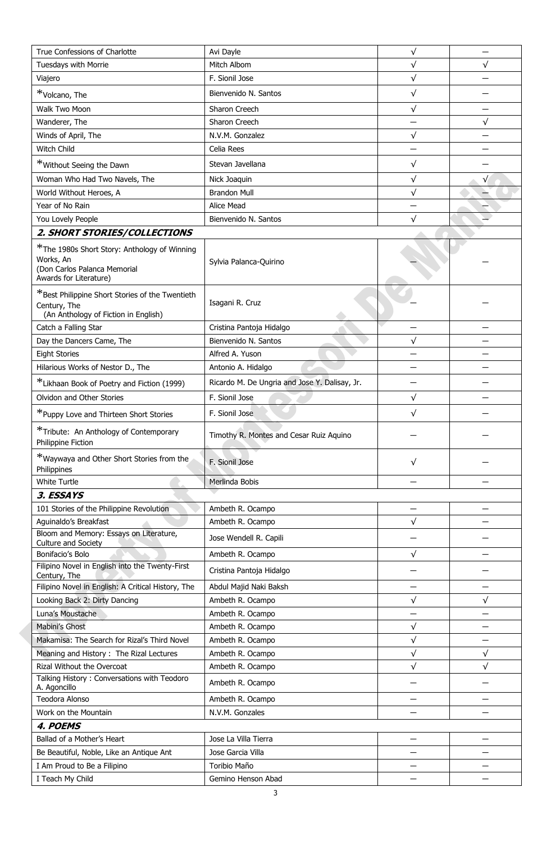| True Confessions of Charlotte                                                                                       | Avi Dayle                                     | $\sqrt{}$ |           |
|---------------------------------------------------------------------------------------------------------------------|-----------------------------------------------|-----------|-----------|
| Tuesdays with Morrie                                                                                                | Mitch Albom                                   | $\sqrt{}$ | $\sqrt{}$ |
| Viajero                                                                                                             | F. Sionil Jose                                | $\sqrt{}$ |           |
| *Volcano, The                                                                                                       | Bienvenido N. Santos                          | $\sqrt{}$ |           |
| Walk Two Moon                                                                                                       | Sharon Creech                                 | $\sqrt{}$ |           |
| Wanderer, The                                                                                                       | Sharon Creech                                 |           | $\sqrt{}$ |
| Winds of April, The                                                                                                 | N.V.M. Gonzalez                               | $\sqrt{}$ |           |
| Witch Child                                                                                                         | Celia Rees                                    |           |           |
| *Without Seeing the Dawn                                                                                            | Stevan Javellana                              | $\sqrt{}$ |           |
| Woman Who Had Two Navels, The                                                                                       | Nick Joaquin                                  | $\sqrt{}$ | $\sqrt{}$ |
| World Without Heroes, A                                                                                             | <b>Brandon Mull</b>                           | $\sqrt{}$ |           |
| Year of No Rain                                                                                                     | Alice Mead                                    |           |           |
| You Lovely People                                                                                                   | Bienvenido N. Santos                          | $\sqrt{}$ |           |
| 2. SHORT STORIES/COLLECTIONS                                                                                        |                                               |           |           |
| *The 1980s Short Story: Anthology of Winning<br>Works, An<br>(Don Carlos Palanca Memorial<br>Awards for Literature) | Sylvia Palanca-Quirino                        |           |           |
| *Best Philippine Short Stories of the Twentieth<br>Century, The<br>(An Anthology of Fiction in English)             | Isagani R. Cruz                               |           |           |
| Catch a Falling Star                                                                                                | Cristina Pantoja Hidalgo                      |           |           |
| Day the Dancers Came, The                                                                                           | Bienvenido N. Santos                          | $\sqrt{}$ |           |
| <b>Eight Stories</b>                                                                                                | Alfred A. Yuson                               |           |           |
| Hilarious Works of Nestor D., The                                                                                   | Antonio A. Hidalgo                            |           |           |
| *Likhaan Book of Poetry and Fiction (1999)                                                                          | Ricardo M. De Ungria and Jose Y. Dalisay, Jr. |           |           |
| Olvidon and Other Stories                                                                                           | F. Sionil Jose                                | $\sqrt{}$ |           |
| *Puppy Love and Thirteen Short Stories                                                                              | F. Sionil Jose                                | $\sqrt{}$ |           |
| *Tribute: An Anthology of Contemporary<br>Philippine Fiction                                                        | Timothy R. Montes and Cesar Ruiz Aquino       |           |           |
| *Waywaya and Other Short Stories from the<br>Philippines                                                            | F. Sionil Jose                                | √         |           |
| <b>White Turtle</b>                                                                                                 | Merlinda Bobis                                |           |           |
| 3. ESSAYS                                                                                                           |                                               |           |           |
| 101 Stories of the Philippine Revolution                                                                            | Ambeth R. Ocampo                              |           |           |
| Aquinaldo's Breakfast                                                                                               | Ambeth R. Ocampo                              | $\sqrt{}$ |           |
| Bloom and Memory: Essays on Literature,<br>Culture and Society                                                      | Jose Wendell R. Capili                        |           |           |
| Bonifacio's Bolo                                                                                                    | Ambeth R. Ocampo                              | $\sqrt{}$ |           |
| Filipino Novel in English into the Twenty-First<br>Century, The                                                     | Cristina Pantoja Hidalgo                      |           |           |
| Filipino Novel in English: A Critical History, The                                                                  | Abdul Majid Naki Baksh                        |           |           |
| Looking Back 2: Dirty Dancing                                                                                       | Ambeth R. Ocampo                              | $\sqrt{}$ | $\sqrt{}$ |
| Luna's Moustache                                                                                                    | Ambeth R. Ocampo                              |           |           |
| Mabini's Ghost                                                                                                      | Ambeth R. Ocampo                              | $\sqrt{}$ |           |
| Makamisa: The Search for Rizal's Third Novel                                                                        | Ambeth R. Ocampo                              | $\sqrt{}$ |           |
| Meaning and History : The Rizal Lectures                                                                            | Ambeth R. Ocampo                              | $\sqrt{}$ | $\sqrt{}$ |
| Rizal Without the Overcoat                                                                                          | Ambeth R. Ocampo                              | $\sqrt{}$ | $\sqrt{}$ |
| Talking History: Conversations with Teodoro<br>A. Agoncillo                                                         | Ambeth R. Ocampo                              |           |           |
| <b>Teodora Alonso</b>                                                                                               | Ambeth R. Ocampo                              |           |           |
| Work on the Mountain                                                                                                | N.V.M. Gonzales                               |           |           |
| 4. POEMS                                                                                                            |                                               |           |           |
| Ballad of a Mother's Heart                                                                                          | Jose La Villa Tierra                          |           |           |
| Be Beautiful, Noble, Like an Antique Ant                                                                            | Jose Garcia Villa                             |           |           |
| I Am Proud to Be a Filipino                                                                                         | Toribio Maño                                  |           |           |
| I Teach My Child                                                                                                    | Gemino Henson Abad                            |           |           |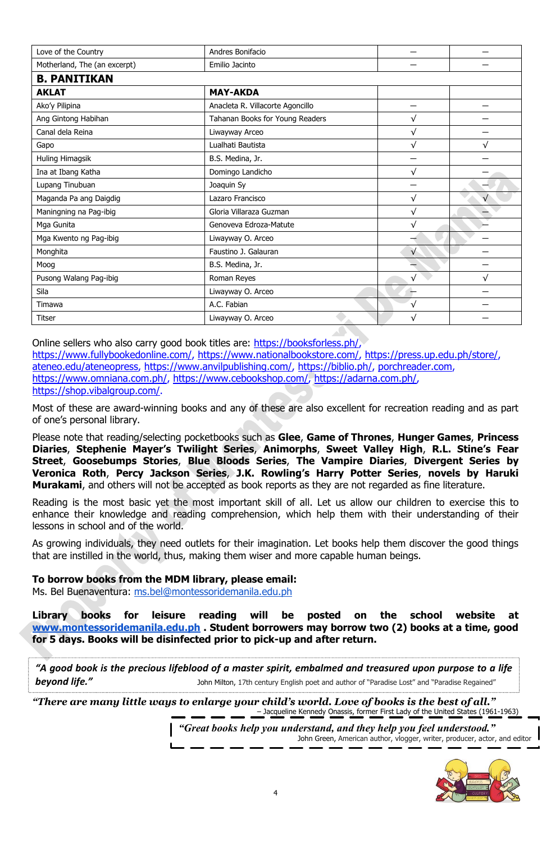| Love of the Country          | Andres Bonifacio                 |            |   |  |
|------------------------------|----------------------------------|------------|---|--|
| Motherland, The (an excerpt) | Emilio Jacinto                   |            |   |  |
| <b>B. PANITIKAN</b>          |                                  |            |   |  |
| <b>AKLAT</b>                 | <b>MAY-AKDA</b>                  |            |   |  |
| Ako'y Pilipina               | Anacleta R. Villacorte Agoncillo |            |   |  |
| Ang Gintong Habihan          | Tahanan Books for Young Readers  | √          |   |  |
| Canal dela Reina             | Liwayway Arceo                   | $\sqrt{}$  |   |  |
| Gapo                         | Lualhati Bautista                | √          |   |  |
| Huling Himagsik              | B.S. Medina, Jr.                 |            |   |  |
| Ina at Ibang Katha           | Domingo Landicho                 | √          |   |  |
| Lupang Tinubuan              | Joaquin Sy                       |            |   |  |
| Maganda Pa ang Daigdig       | Lazaro Francisco                 | √          |   |  |
| Maningning na Pag-ibig       | Gloria Villaraza Guzman          | $\sqrt{}$  |   |  |
| Mga Gunita                   | Genoveva Edroza-Matute           | √          |   |  |
| Mga Kwento ng Pag-ibig       | Liwayway O. Arceo                |            |   |  |
| Monghita                     | Faustino J. Galauran             | $\sqrt{}$  |   |  |
| Moog                         | B.S. Medina, Jr.                 |            |   |  |
| Pusong Walang Pag-ibig       | Roman Reyes                      | $\sqrt{}$  | √ |  |
| Sila                         | Liwayway O. Arceo                |            |   |  |
| Timawa                       | A.C. Fabian                      | $\sqrt{ }$ |   |  |
| <b>Titser</b>                | Liwayway O. Arceo                | √          |   |  |

Online sellers who also carry good book titles are: [https://booksforless.ph/,](https://booksforless.ph/) [https://www.fullybookedonline.com/,](https://www.fullybookedonline.com/) [https://www.nationalbookstore.com/,](https://www.nationalbookstore.com/) [https://press.up.edu.ph/store/,](https://press.up.edu.ph/store/) [ateneo.edu/ateneopress,](http://ateneo.edu/ateneopress) [https://www.anvilpublishing.com/,](https://www.anvilpublishing.com/) [https://biblio.ph/,](https://biblio.ph/) [porchreader.com,](http://porchreader.com/) [https://www.omniana.com.ph/,](https://www.omniana.com.ph/) [https://www.cebookshop.com/,](https://www.cebookshop.com/) [https://adarna.com.ph/,](https://adarna.com.ph/) [https://shop.vibalgroup.com/.](https://shop.vibalgroup.com/)

Most of these are award-winning books and any of these are also excellent for recreation reading and as part of one's personal library.

Please note that reading/selecting pocketbooks such as **Glee**, **Game of Thrones**, **Hunger Games**, **Princess Diaries**, **Stephenie Mayer's Twilight Series**, **Animorphs**, **Sweet Valley High**, **R.L. Stine's Fear Street**, **Goosebumps Stories**, **Blue Bloods Series**, **The Vampire Diaries**, **Divergent Series by Veronica Roth**, **Percy Jackson Series**, **J.K. Rowling's Harry Potter Series**, **novels by Haruki Murakami**, and others will not be accepted as book reports as they are not regarded as fine literature.

Reading is the most basic yet the most important skill of all. Let us allow our children to exercise this to enhance their knowledge and reading comprehension, which help them with their understanding of their lessons in school and of the world.

As growing individuals, they need outlets for their imagination. Let books help them discover the good things that are instilled in the world, thus, making them wiser and more capable human beings.

**To borrow books from the MDM library, please email:** Ms. Bel Buenaventura: [ms.bel@montessoridemanila.edu.ph](mailto:ms.lhen@montessoridemanila.edu.ph)

**Library books for leisure reading will be posted on the school website at [www.montessoridemanila.edu.ph](http://www.montessoridemanila.edu.ph/) . Student borrowers may borrow two (2) books at a time, good for 5 days. Books will be disinfected prior to pick-up and after return.**

*"A good book is the precious lifeblood of a master spirit, embalmed and treasured upon purpose to a life*  **beyond life."** Sohn Milton, 17th century English poet and author of "Paradise Lost" and "Paradise Regained"

*"There are many little ways to enlarge your child's world. Love of books is the best of all."*

– Jacqueline Kennedy Onassis, former First Lady of the United States (1961-1963) *"Great books help you understand, and they help you feel understood."*

John Green, American author, vlogger, writer, producer, actor, and editor